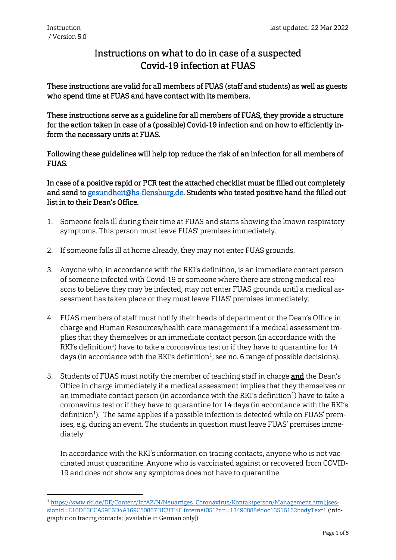**.** 

## Instructions on what to do in case of a suspected Covid-19 infection at FUAS

These instructions are valid for all members of FUAS (staff and students) as well as guests who spend time at FUAS and have contact with its members.

These instructions serve as a guideline for all members of FUAS, they provide a structure for the action taken in case of a (possible) Covid-19 infection and on how to efficiently inform the necessary units at FUAS.

Following these guidelines will help top reduce the risk of an infection for all members of FUAS.

In case of a positive rapid or PCR test the attached checklist must be filled out completely and send to [gesundheit@hs-flensburg.de.](mailto:gesundheit@hs-flensburg.de) Students who tested positive hand the filled out list in to their Dean's Office.

- 1. Someone feels ill during their time at FUAS and starts showing the known respiratory symptoms. This person must leave FUAS' premises immediately.
- 2. If someone falls ill at home already, they may not enter FUAS grounds.
- 3. Anyone who, in accordance with the RKI's definition, is an immediate contact person of someone infected with Covid-19 or someone where there are strong medical reasons to believe they may be infected, may not enter FUAS grounds until a medical assessment has taken place or they must leave FUAS' premises immediately.
- 4. FUAS members of staff must notify their heads of department or the Dean's Office in charge and Human Resources/health care management if a medical assessment implies that they themselves or an immediate contact person (in accordance with the RKI's definition<sup>1</sup>) have to take a coronavirus test or if they have to quarantine for 14 days (in accordance with the RKI's definition $^1$ ; see no. 6 range of possible decisions).
- 5. Students of FUAS must notify the member of teaching staff in charge and the Dean's Office in charge immediately if a medical assessment implies that they themselves or an immediate contact person (in accordance with the RKI's definition<sup>1</sup>) have to take a coronavirus test or if they have to quarantine for 14 days (in accordance with the RKI's definition<sup>1</sup>). The same applies if a possible infection is detected while on FUAS' premises, e.g. during an event. The students in question must leave FUAS' premises immediately.

In accordance with the RKI's information on tracing contacts, anyone who is not vaccinated must quarantine. Anyone who is vaccinated against or recovered from COVID-19 and does not show any symptoms does not have to quarantine.

<sup>1</sup> [https://www.rki.de/DE/Content/InfAZ/N/Neuartiges\\_Coronavirus/Kontaktperson/Management.html;jses](https://www.rki.de/DE/Content/InfAZ/N/Neuartiges_Coronavirus/Kontaktperson/Management.html;jsessionid=E16DE3CCA59E6D4A169C50867DE2FE4C.internet051?nn=13490888#doc13516162bodyText1)[sionid=E16DE3CCA59E6D4A169C50867DE2FE4C.internet051?nn=13490888#doc13516162bodyText1](https://www.rki.de/DE/Content/InfAZ/N/Neuartiges_Coronavirus/Kontaktperson/Management.html;jsessionid=E16DE3CCA59E6D4A169C50867DE2FE4C.internet051?nn=13490888#doc13516162bodyText1) (infographic on tracing contacts; [available in German only])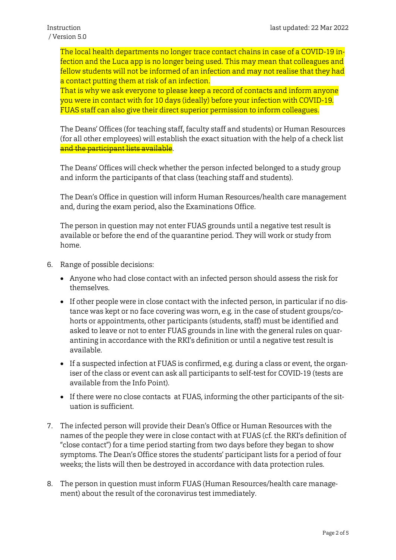The local health departments no longer trace contact chains in case of a COVID-19 infection and the Luca app is no longer being used. This may mean that colleagues and fellow students will not be informed of an infection and may not realise that they had a contact putting them at risk of an infection.

That is why we ask everyone to please keep a record of contacts and inform anyone you were in contact with for 10 days (ideally) before your infection with COVID-19. FUAS staff can also give their direct superior permission to inform colleagues.

The Deans' Offices (for teaching staff, faculty staff and students) or Human Resources (for all other employees) will establish the exact situation with the help of a check list and the participant lists available.

The Deans' Offices will check whether the person infected belonged to a study group and inform the participants of that class (teaching staff and students).

The Dean's Office in question will inform Human Resources/health care management and, during the exam period, also the Examinations Office.

The person in question may not enter FUAS grounds until a negative test result is available or before the end of the quarantine period. They will work or study from home.

- 6. Range of possible decisions:
	- Anyone who had close contact with an infected person should assess the risk for themselves.
	- If other people were in close contact with the infected person, in particular if no distance was kept or no face covering was worn, e.g. in the case of student groups/cohorts or appointments, other participants (students, staff) must be identified and asked to leave or not to enter FUAS grounds in line with the general rules on quarantining in accordance with the RKI's definition or until a negative test result is available.
	- If a suspected infection at FUAS is confirmed, e.g. during a class or event, the organiser of the class or event can ask all participants to self-test for COVID-19 (tests are available from the Info Point).
	- If there were no close contacts at FUAS, informing the other participants of the situation is sufficient.
- 7. The infected person will provide their Dean's Office or Human Resources with the names of the people they were in close contact with at FUAS (cf. the RKI's definition of "close contact") for a time period starting from two days before they began to show symptoms. The Dean's Office stores the students' participant lists for a period of four weeks; the lists will then be destroyed in accordance with data protection rules.
- 8. The person in question must inform FUAS (Human Resources/health care management) about the result of the coronavirus test immediately.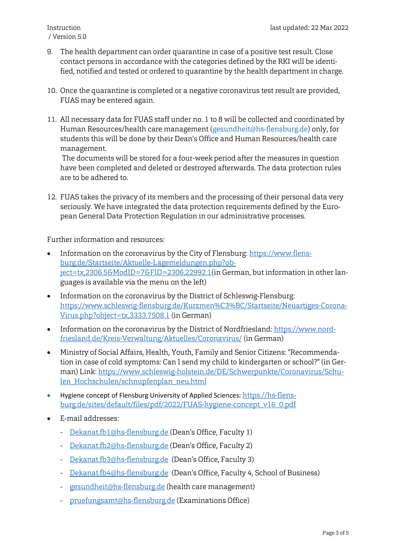- 9. The health department can order quarantine in case of a positive test result. Close contact persons in accordance with the categories defined by the RKI will be identified, notified and tested or ordered to quarantine by the health department in charge.
- 10. Once the quarantine is completed or a negative coronavirus test result are provided, FUAS may be entered again.
- 11. All necessary data for FUAS staff under no. 1 to 8 will be collected and coordinated by Human Resources/health care management [\(gesundheit@hs-flensburg.de\)](mailto:gesundheit@hs-flensburg.de) only, for students this will be done by their Dean's Office and Human Resources/health care management.

The documents will be stored for a four-week period after the measures in question have been completed and deleted or destroyed afterwards. The data protection rules are to be adhered to.

12. FUAS takes the privacy of its members and the processing of their personal data very seriously. We have integrated the data protection requirements defined by the European General Data Protection Regulation in our administrative processes.

Further information and resources:

- Information on the coronavirus by the City of Flensburg: [https://www.flens](https://www.flensburg.de/Startseite/Aktuelle-Lagemeldungen.php?object=tx,2306.5&amp;ModID=7&amp;FID=2306.22992.1)[burg.de/Startseite/Aktuelle-Lagemeldungen.php?ob](https://www.flensburg.de/Startseite/Aktuelle-Lagemeldungen.php?object=tx,2306.5&amp;ModID=7&amp;FID=2306.22992.1)[ject=tx,2306.5&ModID=7&FID=2306.22992.1\(](https://www.flensburg.de/Startseite/Aktuelle-Lagemeldungen.php?object=tx,2306.5&amp;ModID=7&amp;FID=2306.22992.1)in German, but information in other languages is available via the menu on the left)
- Information on the coronavirus by the District of Schleswig-Flensburg: [https://www.schleswig-flensburg.de/Kurzmen%C3%BC/Startseite/Neuartiges-Corona-](https://www.schleswig-flensburg.de/Kurzmen%C3%BC/Startseite/Neuartiges-Corona-Virus.php?object=tx,3333.7508.1)[Virus.php?object=tx,3333.7508.1](https://www.schleswig-flensburg.de/Kurzmen%C3%BC/Startseite/Neuartiges-Corona-Virus.php?object=tx,3333.7508.1) (in German)
- Information on the coronavirus by the District of Nordfriesland: [https://www.nord](https://www.nordfriesland.de/Kreis-Verwaltung/Aktuelles/Coronavirus/)[friesland.de/Kreis-Verwaltung/Aktuelles/Coronavirus/](https://www.nordfriesland.de/Kreis-Verwaltung/Aktuelles/Coronavirus/) (in German)
- Ministry of Social Affairs, Health, Youth, Family and Senior Citizens: "Recommendation in case of cold symptoms: Can I send my child to kindergarten or school?" (in German) Link: [https://www.schleswig-holstein.de/DE/Schwerpunkte/Coronavirus/Schu](https://www.schleswig-holstein.de/DE/Schwerpunkte/Coronavirus/Schulen_Hochschulen/schnupfenplan_neu.html)[len\\_Hochschulen/schnupfenplan\\_neu.html](https://www.schleswig-holstein.de/DE/Schwerpunkte/Coronavirus/Schulen_Hochschulen/schnupfenplan_neu.html)
- Hygiene concept of Flensburg University of Applied Sciences: [https://hs-flens](https://hs-flensburg.de/sites/default/files/pdf/2022/FUAS-hygiene-concept_v16_0.pdf)[burg.de/sites/default/files/pdf/2022/FUAS-hygiene-concept\\_v16\\_0.pdf](https://hs-flensburg.de/sites/default/files/pdf/2022/FUAS-hygiene-concept_v16_0.pdf)
- E-mail addresses:
	- [Dekanat.fb1@hs-flensburg.de](mailto:dekanat.fb1@hs-flensburg.de) (Dean's Office, Faculty 1)
	- [Dekanat.fb2@hs-flensburg.de](mailto:dekanat.fb2@hs-flensburg.de) (Dean's Office, Faculty 2)
	- [Dekanat.fb3@hs-flensburg.de](mailto:dekanat.fb3@hs-flensburg.de) (Dean's Office, Faculty 3)
	- [Dekanat.fb4@hs-flensburg.de](mailto:dekanat.fb4@hs-flensburg.de) (Dean's Office, Faculty 4, School of Business)
	- [gesundheit@hs-flensburg.de](mailto:gesundheit@hs-flensburg.de) (health care management)
	- [pruefungsamt@hs-flensburg.de](mailto:pruefungsamt@hs-flensburg.de) (Examinations Office)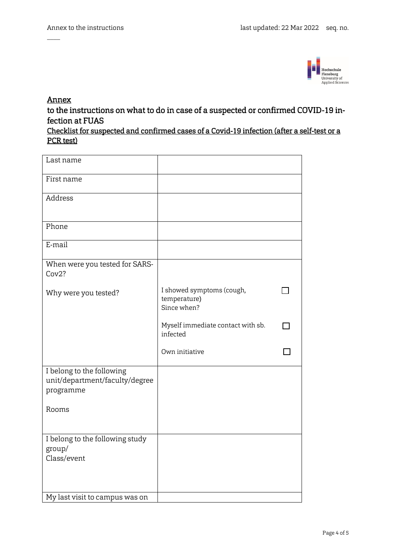

## Annex

 $\overline{\phantom{a}}$ 

to the instructions on what to do in case of a suspected or confirmed COVID-19 infection at FUAS

| Checklist for suspected and confirmed cases of a Covid-19 infection (after a self-test or a |  |  |  |  |
|---------------------------------------------------------------------------------------------|--|--|--|--|
| PCR test)                                                                                   |  |  |  |  |

| Last name                                                                |                                                          |  |
|--------------------------------------------------------------------------|----------------------------------------------------------|--|
| First name                                                               |                                                          |  |
| Address                                                                  |                                                          |  |
| Phone                                                                    |                                                          |  |
| E-mail                                                                   |                                                          |  |
| When were you tested for SARS-<br>Cov2?                                  |                                                          |  |
| Why were you tested?                                                     | I showed symptoms (cough,<br>temperature)<br>Since when? |  |
|                                                                          | Myself immediate contact with sb.<br>infected            |  |
|                                                                          | Own initiative                                           |  |
| I belong to the following<br>unit/department/faculty/degree<br>programme |                                                          |  |
| Rooms                                                                    |                                                          |  |
| I belong to the following study<br>group/<br>Class/event                 |                                                          |  |
| My last visit to campus was on                                           |                                                          |  |